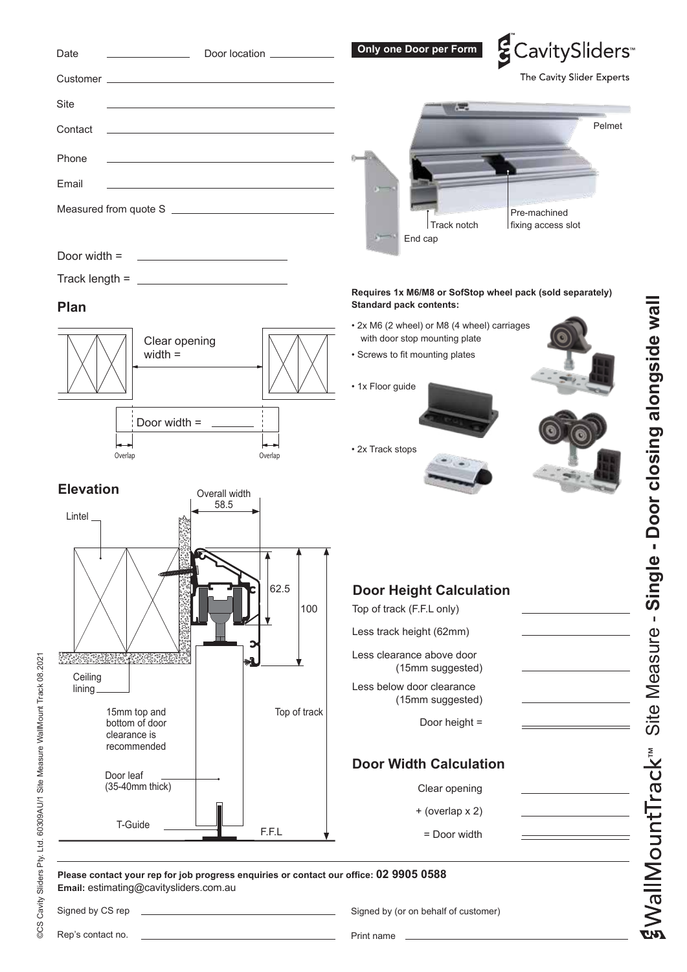## ECavitySliders<sup>®</sup> Date **Constanting Concept Conducts** Door location **Constanting Conducts Door per Form** The Cavity Slider Experts Customer Site <u>\_\_\_\_\_\_\_\_\_\_\_\_\_\_\_\_\_\_\_\_</u> Pelmet **Contact** Phone Email Measured from quote SPre-machined Track notch fixing access slot End cap Door width = Track length  $=$   $\Box$ **Requires 1x M6/M8 or SofStop wheel pack (sold separately) Standard pack contents: Plan** • 2x M6 (2 wheel) or M8 (4 wheel) carriages with door stop mounting plate Clear opening width = • Screws to fit mounting plates • 1x Floor guide Door width = • 2x Track stops Overlap **Overlap** Overlap **Elevation** Overall width 58.5 Lintel 62.5 **Door Height Calculation** 100 Top of track (F.F.L only) Less track height (62mm) Less clearance above door <u> FALTAS ROBERT ALTAS TELEP</u> (15mm suggested) **Ceiling** Less below door clearance lining (15mm suggested) 15mm top and Top of track bottom of door Door height = clearance is recommended **Door Width Calculation** Door leaf (35-40mm thick) Clear opening + (overlap x 2)  $T$ -Guide  $\begin{array}{ccc} \hline \text{---} & \text{---} \end{array}$  F.F.L = Door width **Please contact your rep for job progress enquiries or contact our office: 02 9905 0588**

Rep's contact no.

**Email:** estimating@cavitysliders.com.au

Signed by CS rep

Signed by (or on behalf of customer)

Print name

WallMountTrack<sup>™</sup>

Site Measure - **Single - Door closing alongside wall**

Site Measure - Single - Door closing alongside wall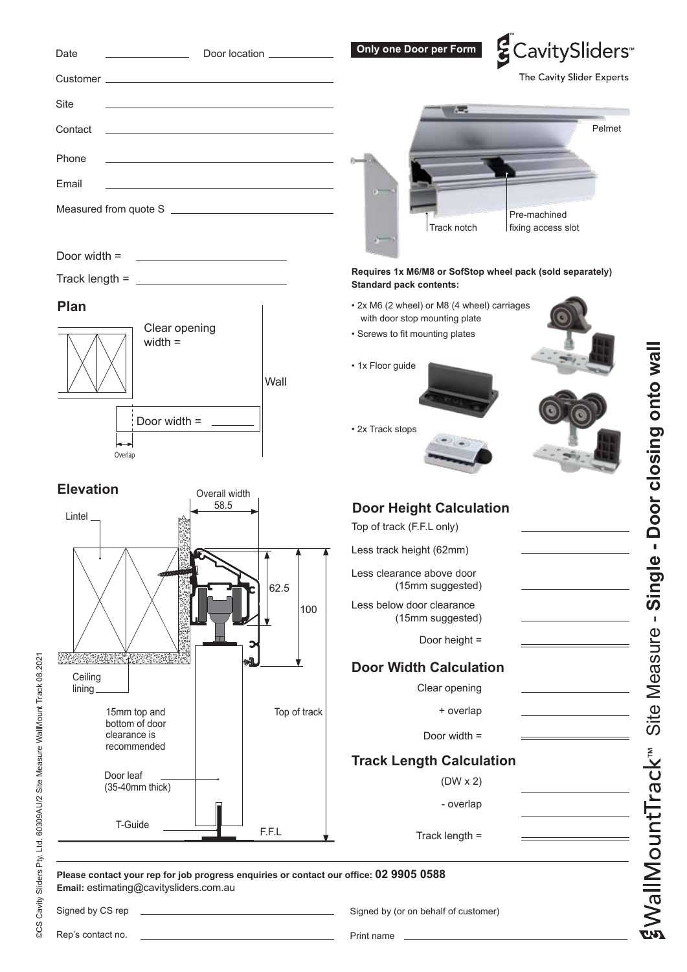| Date<br><u> 1990 - Johann Barbara, martin a</u>                                                                                  | Door location __________                          | Only one Door per Form                                                                                                                                  | ECavitySliders               |
|----------------------------------------------------------------------------------------------------------------------------------|---------------------------------------------------|---------------------------------------------------------------------------------------------------------------------------------------------------------|------------------------------|
|                                                                                                                                  |                                                   |                                                                                                                                                         | The Cavity Slider Experts    |
| Site                                                                                                                             |                                                   | e.                                                                                                                                                      |                              |
| Contact                                                                                                                          |                                                   |                                                                                                                                                         | Pelmet                       |
| Phone<br>the control of the control of the control of the control of the control of the control of                               |                                                   |                                                                                                                                                         |                              |
| Email<br><u> 1989 - Johann Barbara, martxa alemaniar arg</u>                                                                     |                                                   |                                                                                                                                                         |                              |
|                                                                                                                                  |                                                   |                                                                                                                                                         |                              |
|                                                                                                                                  |                                                   | Pre-machined<br>Track notch<br>fixing access slot                                                                                                       |                              |
| Door width $=$<br><u> Alexandria (m. 1888)</u>                                                                                   |                                                   |                                                                                                                                                         |                              |
| Track length = $\frac{1}{2}$                                                                                                     |                                                   | Requires 1x M6/M8 or SofStop wheel pack (sold separately)<br><b>Standard pack contents:</b>                                                             |                              |
| Plan<br>Clear opening<br>width $=$<br>Door width = $\frac{1}{2}$<br>Overlap                                                      | Wall                                              | • 2x M6 (2 wheel) or M8 (4 wheel) carriages<br>with door stop mounting plate<br>• Screws to fit mounting plates<br>• 1x Floor guide<br>• 2x Track stops | Door closing onto wal        |
| <b>Elevation</b><br>Overall width                                                                                                |                                                   |                                                                                                                                                         |                              |
| 58.5<br>Lintel                                                                                                                   |                                                   | <b>Door Height Calculation</b>                                                                                                                          |                              |
|                                                                                                                                  |                                                   | Top of track (F.F.L only)<br>Less track height (62mm)                                                                                                   |                              |
|                                                                                                                                  | 62.5                                              | Less clearance above door<br>(15mm suggested)                                                                                                           | Single                       |
|                                                                                                                                  | 100                                               | Less below door clearance<br>(15mm suggested)                                                                                                           | л.                           |
| <b>อีกเลียน คือ เอก ค</b>                                                                                                        | ыĺ.                                               | Door height =                                                                                                                                           |                              |
| Ceiling                                                                                                                          |                                                   | <b>Door Width Calculation</b>                                                                                                                           | Measure                      |
| lining<br>15mm top and                                                                                                           | Top of track                                      | Clear opening<br>+ overlap                                                                                                                              |                              |
| bottom of door<br>clearance is                                                                                                   |                                                   | Door width =                                                                                                                                            | Site                         |
| recommended                                                                                                                      |                                                   | <b>Track Length Calculation</b>                                                                                                                         |                              |
| Door leaf<br>(35-40mm thick)                                                                                                     |                                                   | $(DW \times 2)$                                                                                                                                         |                              |
|                                                                                                                                  |                                                   | - overlap                                                                                                                                               |                              |
| T-Guide                                                                                                                          | F.F.L                                             | Track length $=$                                                                                                                                        | gwallMountTrack <sup>™</sup> |
|                                                                                                                                  |                                                   |                                                                                                                                                         |                              |
| Please contact your rep for job progress enquiries or contact our office: 02 9905 0588<br>Email: estimating@cavitysliders.com.au |                                                   |                                                                                                                                                         |                              |
| Signed by CS rep                                                                                                                 | <u> 1989 - Johann Barbara, martxa alemaniar a</u> | Signed by (or on behalf of customer)                                                                                                                    |                              |
|                                                                                                                                  |                                                   | Print name                                                                                                                                              |                              |

Print name